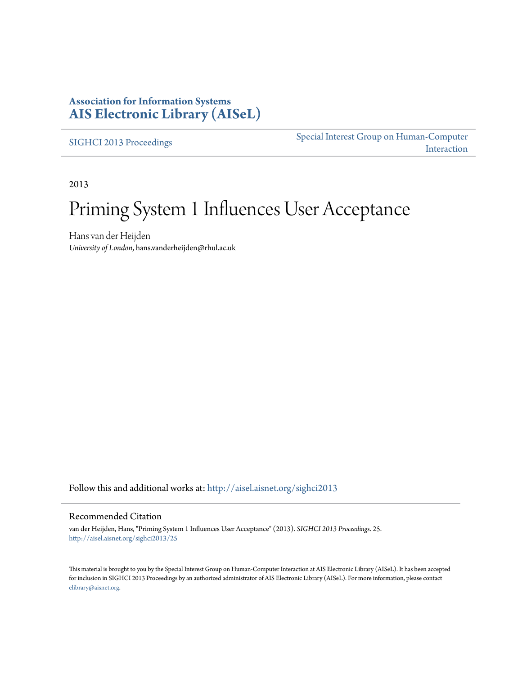### **Association for Information Systems [AIS Electronic Library \(AISeL\)](http://aisel.aisnet.org?utm_source=aisel.aisnet.org%2Fsighci2013%2F25&utm_medium=PDF&utm_campaign=PDFCoverPages)**

[SIGHCI 2013 Proceedings](http://aisel.aisnet.org/sighci2013?utm_source=aisel.aisnet.org%2Fsighci2013%2F25&utm_medium=PDF&utm_campaign=PDFCoverPages)

[Special Interest Group on Human-Computer](http://aisel.aisnet.org/sighci?utm_source=aisel.aisnet.org%2Fsighci2013%2F25&utm_medium=PDF&utm_campaign=PDFCoverPages) [Interaction](http://aisel.aisnet.org/sighci?utm_source=aisel.aisnet.org%2Fsighci2013%2F25&utm_medium=PDF&utm_campaign=PDFCoverPages)

2013

# Priming System 1 Influences User Acceptance

Hans van der Heijden *University of London*, hans.vanderheijden@rhul.ac.uk

Follow this and additional works at: [http://aisel.aisnet.org/sighci2013](http://aisel.aisnet.org/sighci2013?utm_source=aisel.aisnet.org%2Fsighci2013%2F25&utm_medium=PDF&utm_campaign=PDFCoverPages)

#### Recommended Citation

van der Heijden, Hans, "Priming System 1 Influences User Acceptance" (2013). *SIGHCI 2013 Proceedings*. 25. [http://aisel.aisnet.org/sighci2013/25](http://aisel.aisnet.org/sighci2013/25?utm_source=aisel.aisnet.org%2Fsighci2013%2F25&utm_medium=PDF&utm_campaign=PDFCoverPages)

This material is brought to you by the Special Interest Group on Human-Computer Interaction at AIS Electronic Library (AISeL). It has been accepted for inclusion in SIGHCI 2013 Proceedings by an authorized administrator of AIS Electronic Library (AISeL). For more information, please contact [elibrary@aisnet.org.](mailto:elibrary@aisnet.org%3E)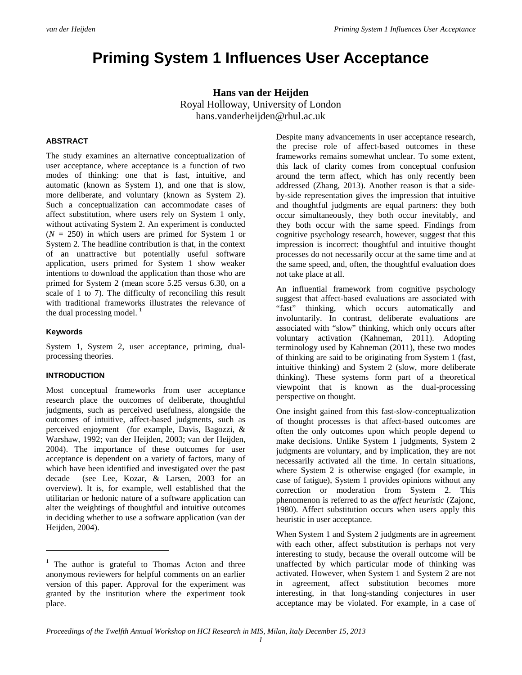## **Priming System 1 Influences User Acceptance**

**Hans van der Heijden** Royal Holloway, University of London hans.vanderheijden@rhul.ac.uk

#### **ABSTRACT**

The study examines an alternative conceptualization of user acceptance, where acceptance is a function of two modes of thinking: one that is fast, intuitive, and automatic (known as System 1), and one that is slow, more deliberate, and voluntary (known as System 2). Such a conceptualization can accommodate cases of affect substitution, where users rely on System 1 only, without activating System 2. An experiment is conducted  $(N = 250)$  in which users are primed for System 1 or System 2. The headline contribution is that, in the context of an unattractive but potentially useful software application, users primed for System 1 show weaker intentions to download the application than those who are primed for System 2 (mean score 5.25 versus 6.30, on a scale of 1 to 7). The difficulty of reconciling this result with traditional frameworks illustrates the relevance of the dual processing model.  $\frac{1}{1}$  $\frac{1}{1}$  $\frac{1}{1}$ 

#### **Keywords**

 $\overline{a}$ 

System 1, System 2, user acceptance, priming, dualprocessing theories.

#### **INTRODUCTION**

Most conceptual frameworks from user acceptance research place the outcomes of deliberate, thoughtful judgments, such as perceived usefulness, alongside the outcomes of intuitive, affect-based judgments, such as perceived enjoyment (for example, Davis, Bagozzi, & Warshaw, 1992; van der Heijden, 2003; van der Heijden, 2004). The importance of these outcomes for user acceptance is dependent on a variety of factors, many of which have been identified and investigated over the past decade (see Lee, Kozar, & Larsen, 2003 for an overview). It is, for example, well established that the utilitarian or hedonic nature of a software application can alter the weightings of thoughtful and intuitive outcomes in deciding whether to use a software application (van der Heijden, 2004).

Despite many advancements in user acceptance research, the precise role of affect-based outcomes in these frameworks remains somewhat unclear. To some extent, this lack of clarity comes from conceptual confusion around the term affect, which has only recently been addressed (Zhang, 2013). Another reason is that a sideby-side representation gives the impression that intuitive and thoughtful judgments are equal partners: they both occur simultaneously, they both occur inevitably, and they both occur with the same speed. Findings from cognitive psychology research, however, suggest that this impression is incorrect: thoughtful and intuitive thought processes do not necessarily occur at the same time and at the same speed, and, often, the thoughtful evaluation does not take place at all.

An influential framework from cognitive psychology suggest that affect-based evaluations are associated with "fast" thinking, which occurs automatically and involuntarily. In contrast, deliberate evaluations are associated with "slow" thinking, which only occurs after voluntary activation (Kahneman, 2011). Adopting terminology used by Kahneman (2011), these two modes of thinking are said to be originating from System 1 (fast, intuitive thinking) and System 2 (slow, more deliberate thinking). These systems form part of a theoretical viewpoint that is known as the dual-processing perspective on thought.

One insight gained from this fast-slow-conceptualization of thought processes is that affect-based outcomes are often the only outcomes upon which people depend to make decisions. Unlike System 1 judgments, System 2 judgments are voluntary, and by implication, they are not necessarily activated all the time. In certain situations, where System 2 is otherwise engaged (for example, in case of fatigue), System 1 provides opinions without any correction or moderation from System 2. This phenomenon is referred to as the *affect heuristic* (Zajonc, 1980). Affect substitution occurs when users apply this heuristic in user acceptance.

When System 1 and System 2 judgments are in agreement with each other, affect substitution is perhaps not very interesting to study, because the overall outcome will be unaffected by which particular mode of thinking was activated. However, when System 1 and System 2 are not in agreement, affect substitution becomes more interesting, in that long-standing conjectures in user acceptance may be violated. For example, in a case of

<span id="page-1-0"></span><sup>&</sup>lt;sup>1</sup> The author is grateful to Thomas Acton and three anonymous reviewers for helpful comments on an earlier version of this paper. Approval for the experiment was granted by the institution where the experiment took place.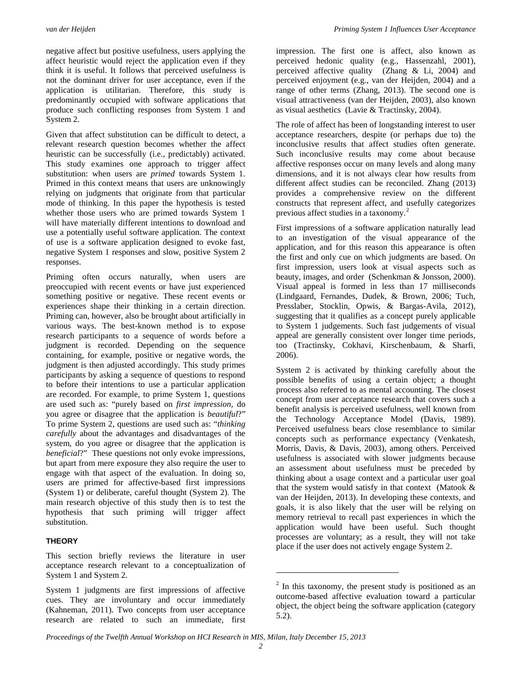negative affect but positive usefulness, users applying the affect heuristic would reject the application even if they think it is useful. It follows that perceived usefulness is not the dominant driver for user acceptance, even if the application is utilitarian. Therefore, this study is predominantly occupied with software applications that produce such conflicting responses from System 1 and System 2.

Given that affect substitution can be difficult to detect, a relevant research question becomes whether the affect heuristic can be successfully (i.e., predictably) activated. This study examines one approach to trigger affect substitution: when users are *primed* towards System 1. Primed in this context means that users are unknowingly relying on judgments that originate from that particular mode of thinking. In this paper the hypothesis is tested whether those users who are primed towards System 1 will have materially different intentions to download and use a potentially useful software application. The context of use is a software application designed to evoke fast, negative System 1 responses and slow, positive System 2 responses.

Priming often occurs naturally, when users are preoccupied with recent events or have just experienced something positive or negative. These recent events or experiences shape their thinking in a certain direction. Priming can, however, also be brought about artificially in various ways. The best-known method is to expose research participants to a sequence of words before a judgment is recorded. Depending on the sequence containing, for example, positive or negative words, the judgment is then adjusted accordingly. This study primes participants by asking a sequence of questions to respond to before their intentions to use a particular application are recorded. For example, to prime System 1, questions are used such as: "purely based on *first impression*, do you agree or disagree that the application is *beautiful*?" To prime System 2, questions are used such as: "*thinking carefully* about the advantages and disadvantages of the system, do you agree or disagree that the application is *beneficial*?" These questions not only evoke impressions, but apart from mere exposure they also require the user to engage with that aspect of the evaluation. In doing so, users are primed for affective-based first impressions (System 1) or deliberate, careful thought (System 2). The main research objective of this study then is to test the hypothesis that such priming will trigger affect substitution.

#### **THEORY**

This section briefly reviews the literature in user acceptance research relevant to a conceptualization of System 1 and System 2.

<span id="page-2-0"></span>System 1 judgments are first impressions of affective cues. They are involuntary and occur immediately (Kahneman, 2011). Two concepts from user acceptance research are related to such an immediate, first

impression. The first one is affect, also known as perceived hedonic quality (e.g., Hassenzahl, 2001), perceived affective quality (Zhang & Li, 2004) and perceived enjoyment (e.g., van der Heijden, 2004) and a range of other terms (Zhang, 2013). The second one is visual attractiveness (van der Heijden, 2003), also known as visual aesthetics (Lavie & Tractinsky, 2004).

The role of affect has been of longstanding interest to user acceptance researchers, despite (or perhaps due to) the inconclusive results that affect studies often generate. Such inconclusive results may come about because affective responses occur on many levels and along many dimensions, and it is not always clear how results from different affect studies can be reconciled. Zhang (2013) provides a comprehensive review on the different constructs that represent affect, and usefully categorizes previous affect studies in a taxonomy.[2](#page-2-0)

First impressions of a software application naturally lead to an investigation of the visual appearance of the application, and for this reason this appearance is often the first and only cue on which judgments are based. On first impression, users look at visual aspects such as beauty, images, and order (Schenkman & Jonsson, 2000). Visual appeal is formed in less than 17 milliseconds (Lindgaard, Fernandes, Dudek, & Brown, 2006; Tuch, Presslaber, Stocklin, Opwis, & Bargas-Avila, 2012), suggesting that it qualifies as a concept purely applicable to System 1 judgements. Such fast judgements of visual appeal are generally consistent over longer time periods, too (Tractinsky, Cokhavi, Kirschenbaum, & Sharfi, 2006).

System 2 is activated by thinking carefully about the possible benefits of using a certain object; a thought process also referred to as mental accounting. The closest concept from user acceptance research that covers such a benefit analysis is perceived usefulness, well known from the Technology Acceptance Model (Davis, 1989). Perceived usefulness bears close resemblance to similar concepts such as performance expectancy (Venkatesh, Morris, Davis, & Davis, 2003), among others. Perceived usefulness is associated with slower judgments because an assessment about usefulness must be preceded by thinking about a usage context and a particular user goal that the system would satisfy in that context (Matook & van der Heijden, 2013). In developing these contexts, and goals, it is also likely that the user will be relying on memory retrieval to recall past experiences in which the application would have been useful. Such thought processes are voluntary; as a result, they will not take place if the user does not actively engage System 2.

 $\overline{a}$ 

 $2 \text{ In this taxonomy, the present study is positioned as an }$ outcome-based affective evaluation toward a particular object, the object being the software application (category 5.2).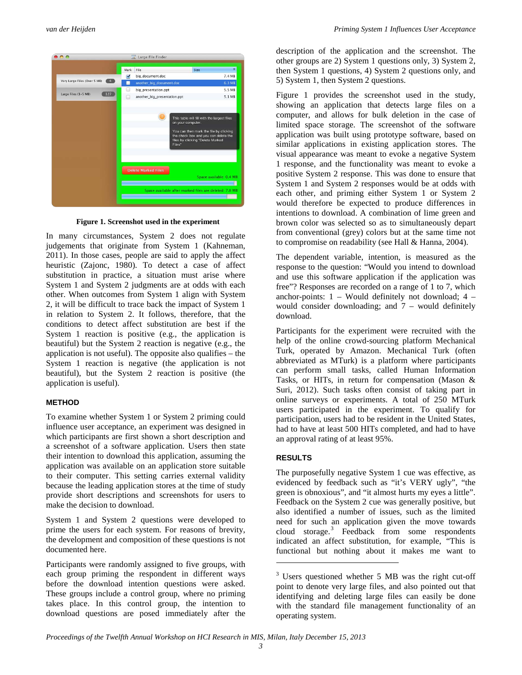

**Figure 1. Screenshot used in the experiment**

In many circumstances, System 2 does not regulate judgements that originate from System 1 (Kahneman, 2011). In those cases, people are said to apply the affect heuristic (Zajonc, 1980). To detect a case of affect substitution in practice, a situation must arise where System 1 and System 2 judgments are at odds with each other. When outcomes from System 1 align with System 2, it will be difficult to trace back the impact of System 1 in relation to System 2. It follows, therefore, that the conditions to detect affect substitution are best if the System 1 reaction is positive (e.g., the application is beautiful) but the System 2 reaction is negative (e.g., the application is not useful). The opposite also qualifies – the System 1 reaction is negative (the application is not beautiful), but the System 2 reaction is positive (the application is useful).

#### **METHOD**

To examine whether System 1 or System 2 priming could influence user acceptance, an experiment was designed in which participants are first shown a short description and a screenshot of a software application. Users then state their intention to download this application, assuming the application was available on an application store suitable to their computer. This setting carries external validity because the leading application stores at the time of study provide short descriptions and screenshots for users to make the decision to download.

System 1 and System 2 questions were developed to prime the users for each system. For reasons of brevity, the development and composition of these questions is not documented here.

<span id="page-3-0"></span>Participants were randomly assigned to five groups, with each group priming the respondent in different ways before the download intention questions were asked. These groups include a control group, where no priming takes place. In this control group, the intention to download questions are posed immediately after the

description of the application and the screenshot. The other groups are 2) System 1 questions only, 3) System 2, then System 1 questions, 4) System 2 questions only, and 5) System 1, then System 2 questions.

Figure 1 provides the screenshot used in the study, showing an application that detects large files on a computer, and allows for bulk deletion in the case of limited space storage. The screenshot of the software application was built using prototype software, based on similar applications in existing application stores. The visual appearance was meant to evoke a negative System 1 response, and the functionality was meant to evoke a positive System 2 response. This was done to ensure that System 1 and System 2 responses would be at odds with each other, and priming either System 1 or System 2 would therefore be expected to produce differences in intentions to download. A combination of lime green and brown color was selected so as to simultaneously depart from conventional (grey) colors but at the same time not to compromise on readability (see Hall & Hanna, 2004).

The dependent variable, intention, is measured as the response to the question: "Would you intend to download and use this software application if the application was free"? Responses are recorded on a range of 1 to 7, which anchor-points:  $1 -$  Would definitely not download;  $4$ would consider downloading; and  $7 -$  would definitely download.

Participants for the experiment were recruited with the help of the online crowd-sourcing platform Mechanical Turk, operated by Amazon. Mechanical Turk (often abbreviated as MTurk) is a platform where participants can perform small tasks, called Human Information Tasks, or HITs, in return for compensation (Mason & Suri, 2012). Such tasks often consist of taking part in online surveys or experiments. A total of 250 MTurk users participated in the experiment. To qualify for participation, users had to be resident in the United States, had to have at least 500 HITs completed, and had to have an approval rating of at least 95%.

#### **RESULTS**

The purposefully negative System 1 cue was effective, as evidenced by feedback such as "it's VERY ugly", "the green is obnoxious", and "it almost hurts my eyes a little". Feedback on the System 2 cue was generally positive, but also identified a number of issues, such as the limited need for such an application given the move towards cloud storage.[3](#page-3-0) Feedback from some respondents indicated an affect substitution, for example, "This is functional but nothing about it makes me want to

 $\overline{a}$ 

 $3$  Users questioned whether 5 MB was the right cut-off point to denote very large files, and also pointed out that identifying and deleting large files can easily be done with the standard file management functionality of an operating system.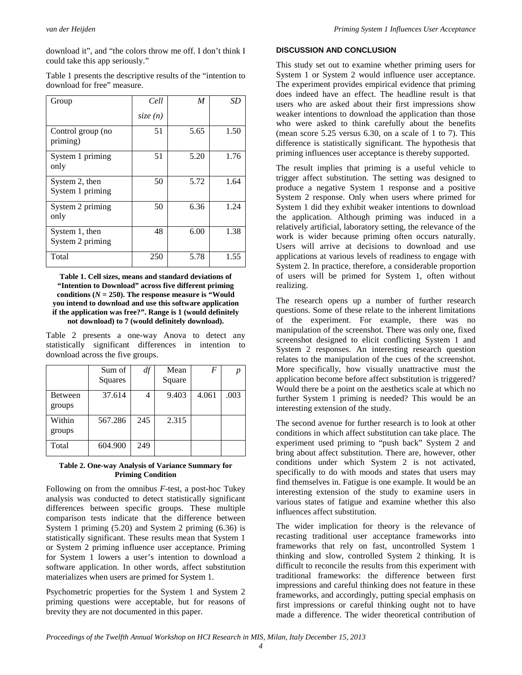download it", and "the colors throw me off. I don't think I could take this app seriously."

Table 1 presents the descriptive results of the "intention to download for free" measure.

| Group                              | Cell    | M    | <b>SD</b> |
|------------------------------------|---------|------|-----------|
|                                    | size(n) |      |           |
| Control group (no<br>priming)      | 51      | 5.65 | 1.50      |
| System 1 priming<br>only           | 51      | 5.20 | 1.76      |
| System 2, then<br>System 1 priming | 50      | 5.72 | 1.64      |
| System 2 priming<br>only           | 50      | 6.36 | 1.24      |
| System 1, then<br>System 2 priming | 48      | 6.00 | 1.38      |
| Total                              | 250     | 5.78 | 1.55      |

#### **Table 1. Cell sizes, means and standard deviations of "Intention to Download" across five different priming**  conditions  $(N = 250)$ . The response measure is "Would" **you intend to download and use this software application if the application was free?". Range is 1 (would definitely not download) to 7 (would definitely download).**

Table 2 presents a one-way Anova to detect any statistically significant differences in intention to download across the five groups.

|                   | Sum of<br>Squares | df  | Mean<br>Square | F     | р    |
|-------------------|-------------------|-----|----------------|-------|------|
| Between<br>groups | 37.614            | 4   | 9.403          | 4.061 | .003 |
| Within<br>groups  | 567.286           | 245 | 2.315          |       |      |
| Total             | 604.900           | 249 |                |       |      |

#### **Table 2. One-way Analysis of Variance Summary for Priming Condition**

Following on from the omnibus *F*-test, a post-hoc Tukey analysis was conducted to detect statistically significant differences between specific groups. These multiple comparison tests indicate that the difference between System 1 priming (5.20) and System 2 priming (6.36) is statistically significant. These results mean that System 1 or System 2 priming influence user acceptance. Priming for System 1 lowers a user's intention to download a software application. In other words, affect substitution materializes when users are primed for System 1.

Psychometric properties for the System 1 and System 2 priming questions were acceptable, but for reasons of brevity they are not documented in this paper.

#### **DISCUSSION AND CONCLUSION**

This study set out to examine whether priming users for System 1 or System 2 would influence user acceptance. The experiment provides empirical evidence that priming does indeed have an effect. The headline result is that users who are asked about their first impressions show weaker intentions to download the application than those who were asked to think carefully about the benefits (mean score 5.25 versus 6.30, on a scale of 1 to 7). This difference is statistically significant. The hypothesis that priming influences user acceptance is thereby supported.

The result implies that priming is a useful vehicle to trigger affect substitution. The setting was designed to produce a negative System 1 response and a positive System 2 response. Only when users where primed for System 1 did they exhibit weaker intentions to download the application. Although priming was induced in a relatively artificial, laboratory setting, the relevance of the work is wider because priming often occurs naturally. Users will arrive at decisions to download and use applications at various levels of readiness to engage with System 2. In practice, therefore, a considerable proportion of users will be primed for System 1, often without realizing.

The research opens up a number of further research questions. Some of these relate to the inherent limitations of the experiment. For example, there was no manipulation of the screenshot. There was only one, fixed screenshot designed to elicit conflicting System 1 and System 2 responses. An interesting research question relates to the manipulation of the cues of the screenshot. More specifically, how visually unattractive must the application become before affect substitution is triggered? Would there be a point on the aesthetics scale at which no further System 1 priming is needed? This would be an interesting extension of the study.

The second avenue for further research is to look at other conditions in which affect substitution can take place. The experiment used priming to "push back" System 2 and bring about affect substitution. There are, however, other conditions under which System 2 is not activated, specifically to do with moods and states that users may find themselves in. Fatigue is one example. It would be an interesting extension of the study to examine users in various states of fatigue and examine whether this also influences affect substitution.

The wider implication for theory is the relevance of recasting traditional user acceptance frameworks into frameworks that rely on fast, uncontrolled System 1 thinking and slow, controlled System 2 thinking. It is difficult to reconcile the results from this experiment with traditional frameworks: the difference between first impressions and careful thinking does not feature in these frameworks, and accordingly, putting special emphasis on first impressions or careful thinking ought not to have made a difference. The wider theoretical contribution of